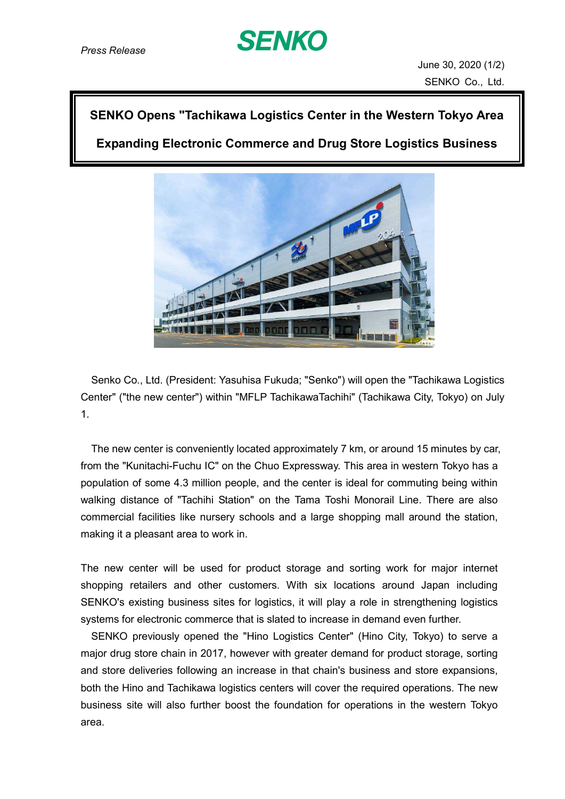

## **SENKO Opens "Tachikawa Logistics Center in the Western Tokyo Area**

**Expanding Electronic Commerce and Drug Store Logistics Business**



Senko Co., Ltd. (President: Yasuhisa Fukuda; "Senko") will open the "Tachikawa Logistics Center" ("the new center") within "MFLP TachikawaTachihi" (Tachikawa City, Tokyo) on July 1.

The new center is conveniently located approximately 7 km, or around 15 minutes by car, from the "Kunitachi-Fuchu IC" on the Chuo Expressway. This area in western Tokyo has a population of some 4.3 million people, and the center is ideal for commuting being within walking distance of "Tachihi Station" on the Tama Toshi Monorail Line. There are also commercial facilities like nursery schools and a large shopping mall around the station, making it a pleasant area to work in.

The new center will be used for product storage and sorting work for major internet shopping retailers and other customers. With six locations around Japan including SENKO's existing business sites for logistics, it will play a role in strengthening logistics systems for electronic commerce that is slated to increase in demand even further.

SENKO previously opened the "Hino Logistics Center" (Hino City, Tokyo) to serve a major drug store chain in 2017, however with greater demand for product storage, sorting and store deliveries following an increase in that chain's business and store expansions, both the Hino and Tachikawa logistics centers will cover the required operations. The new business site will also further boost the foundation for operations in the western Tokyo area.